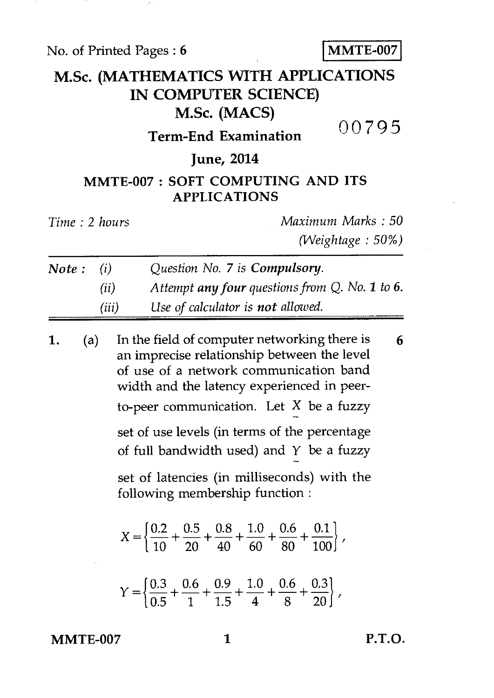No. of Printed Pages : **6** MMTE-007

# **M.Sc. (MATHEMATICS WITH APPLICATIONS IN COMPUTER SCIENCE) M.Sc. (MACS)**  00795

### **Term-End Examination**

#### **June, 2014**

## **MMTE-007 : SOFT COMPUTING AND ITS APPLICATIONS**

| Time: 2 hours |      | Maximum Marks: 50                                 |
|---------------|------|---------------------------------------------------|
|               |      | $(Weightage: 50\%)$                               |
| Note: $(i)$   |      | Question No. 7 is <b>Compulsory</b> .             |
|               | (ii) | Attempt any four questions from $Q$ . No. 1 to 6. |

*(iii) Use of calculator is not allowed.* 

 $+\frac{0.8}{40} + \frac{1.0}{60} + \frac{0.6}{80} + \frac{0.1}{100}$  $\frac{0.6}{0.0}$  - $X = \left\{\frac{0.2}{10} + \frac{0.5}{20} + \frac{0.8}{40} + \frac{1.0}{60} + \frac{0.6}{80} + \frac{0.1}{100}\right\}$  $\frac{1}{10} + \frac{1}{20}$ **1.** (a) In the field of computer networking there is **6**  an imprecise relationship between the level of use of a network communication band width and the latency experienced in peerto-peer communication. Let  $X$  be a fuzzy set of use levels (in terms of the percentage of full bandwidth used) and  $Y$  be a fuzzy set of latencies (in milliseconds) with the following membership function :

$$
Y = \left\{ \frac{0.3}{0.5} + \frac{0.6}{1} + \frac{0.9}{1.5} + \frac{1.0}{4} + \frac{0.6}{8} + \frac{0.3}{20} \right\},
$$

**MMTE-007** 

**1 P.T.O.**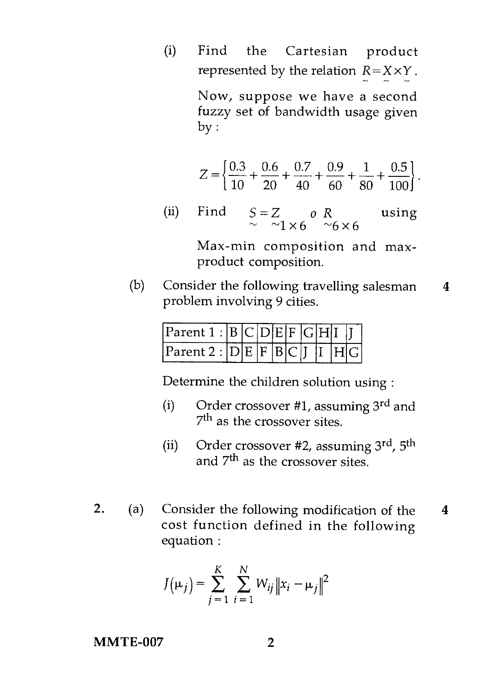(i) Find the Cartesian product represented by the relation  $R = X \times Y$ .

> Now, suppose we have a second fuzzy set of bandwidth usage given by :

$$
Z = \left\{ \frac{0.3}{10} + \frac{0.6}{20} + \frac{0.7}{40} + \frac{0.9}{60} + \frac{1}{80} + \frac{0.5}{100} \right\}.
$$

(ii) Find  $S = Z$  *o R* using  $\sim$  ~1×6 ~6×6

> Max-min composition and maxproduct composition.

(b) Consider the following travelling salesman 4 problem involving 9 cities.

| Parent 1 :  B C D E F G H I      |  |  |  |  |  |
|----------------------------------|--|--|--|--|--|
| $ Parent\ 2:  D E F B C I I H G$ |  |  |  |  |  |

Determine the children solution using :

- (i) Order crossover #1, assuming  $3^{\text{rd}}$  and 7<sup>th</sup> as the crossover sites.
- (ii) Order crossover #2, assuming 3rd, 5th and  $7<sup>th</sup>$  as the crossover sites.
- 2. (a) Consider the following modification of the 4 cost function defined in the following equation :

$$
J(\mu_j) = \sum_{j=1}^{K} \sum_{i=1}^{N} W_{ij} ||x_i - \mu_j||^2
$$

**MMTE-007** 2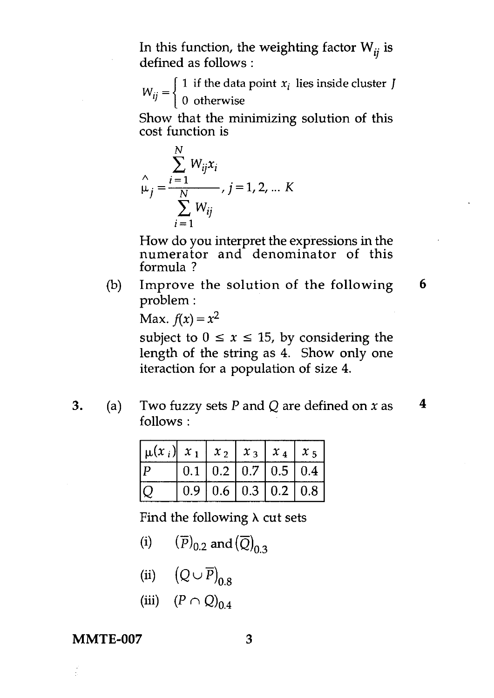In this function, the weighting factor  $W_{ii}$  is defined as follows :

 $W_{ij} = \begin{cases} 1 & \text{if the data point } x_i \text{ lies inside cluster } J \\ 0 & \text{otherwise} \end{cases}$ 

Show that the minimizing solution of this cost function is

$$
\hat{\mu}_j = \frac{\sum_{i=1}^N W_{ij} x_i}{\sum_{i=1}^N W_{ij}}, j = 1, 2, \dots K
$$

How do you interpret the expressions in the numerator and denominator of this formula ?

(b) Improve the solution of the following **6**  problem :

Max.  $f(x) = x^2$ 

subject to  $0 \le x \le 15$ , by considering the length of the string as 4. Show only one iteraction for a population of size 4.

3. (a) Two fuzzy sets *P* and Q are defined on *x* as **4**  follows :

| $\left  \mu(x_i) \right  x_1$ |  |  | $x_2$   $x_3$   $x_4$   $x_5$                  |
|-------------------------------|--|--|------------------------------------------------|
| l D                           |  |  | $0.1 \mid 0.2 \mid 0.7 \mid 0.5 \mid 0.4 \mid$ |
|                               |  |  | $0.9 \mid 0.6 \mid 0.3 \mid 0.2 \mid 0.8 \mid$ |

Find the following  $\lambda$  cut sets

- (i)  $(\overline{P})_{0.2}$  and  $(\overline{Q})_{0.3}$
- (ii)  $(Q \cup \overline{P})_{0.8}$
- *(iii)*  $(P \cap Q)_{0.4}$

#### **MMTE-007** 3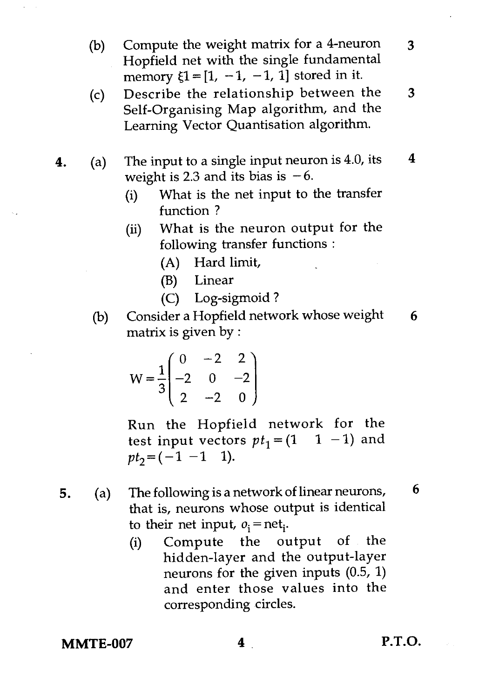- (b) Compute the weight matrix for a 4-neuron 3 Hopfield net with the single fundamental memory  $\xi$ 1 = [1, -1, -1, 1] stored in it.
- (c) Describe the relationship between the 3 Self-Organising Map algorithm, and the Learning Vector Quantisation algorithm.
- **4.** (a) The input to a single input neuron is 4.0, its  $4$ weight is 2.3 and its bias is  $-6$ .
	- (i) What is the net input to the transfer function ?
	- (ii) What is the neuron output for the following transfer functions :
		- (A) Hard limit,
		- (B) Linear
		- (C) Log-sigmoid ?
	- (b) Consider a Hopfield network whose weight  $6$ matrix is given by :

$$
W = \frac{1}{3} \begin{pmatrix} 0 & -2 & 2 \\ -2 & 0 & -2 \\ 2 & -2 & 0 \end{pmatrix}
$$

Run the Hopfield network for the test input vectors  $pt_1 = (1 \t 1 \t -1)$  and  $pt_2 = (-1 -1 1)$ .

- 5. (a) The following is a network of linear neurons,  $6$ that is, neurons whose output is identical to their net input,  $o_i =$ net<sub>i</sub>.
	- (i) Compute the output of the hidden-layer and the output-layer neurons for the given inputs (0.5, 1) and enter those values into the corresponding circles.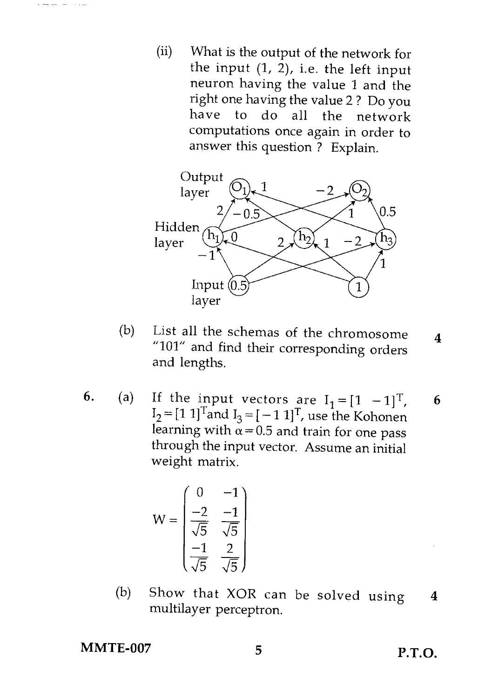$(ii)$ What is the output of the network for the input (1, 2), i.e. the left input neuron having the value 1 and the right one having the value 2 ? Do you have to do all the network computations once again in order to answer this question ? Explain.



- (b) List all the schemas of the chromosome  $\overline{\mathbf{4}}$ "101" and find their corresponding orders and lengths.
- 6. (a) If the input vectors are  $I_1 = [1 \t -1]^T$ , 6  $I_2 = [1\ 1]^T$ and  $I_3 = [-1\ 1]^T$ , use the Kohonen learning with  $\alpha$  = 0.5 and train for one pass through the input vector. Assume an initial weight matrix.

$$
W = \begin{pmatrix} 0 & -1 \\ \frac{-2}{\sqrt{5}} & \frac{-1}{\sqrt{5}} \\ \frac{-1}{\sqrt{5}} & \frac{2}{\sqrt{5}} \end{pmatrix}
$$

(b) Show that XOR can be solved using 4 multilayer perceptron.

MMTE-007 5 P.T.O.